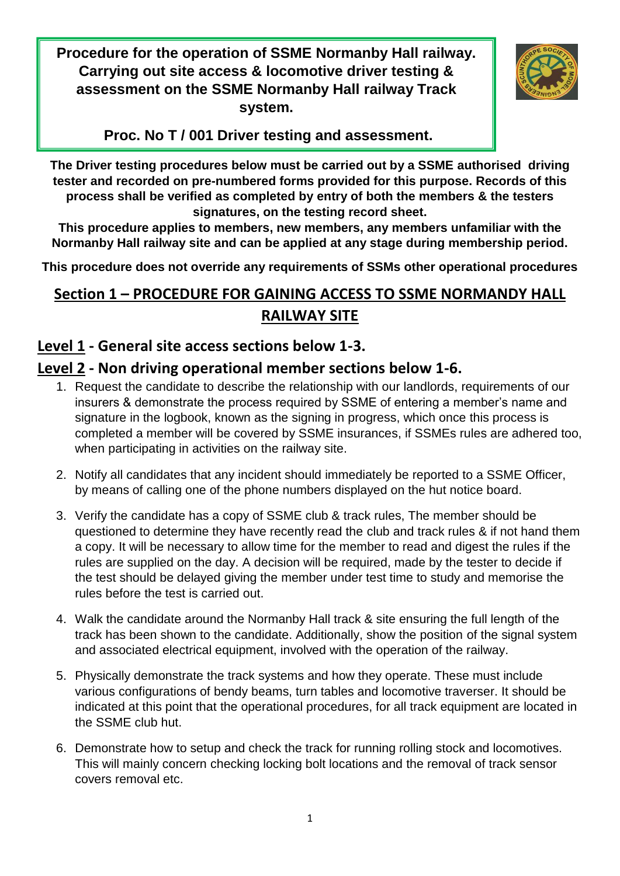**Procedure for the operation of SSME Normanby Hall railway. Carrying out site access & locomotive driver testing & assessment on the SSME Normanby Hall railway Track system.**



**Proc. No T / 001 Driver testing and assessment.**

**The Driver testing procedures below must be carried out by a SSME authorised driving tester and recorded on pre-numbered forms provided for this purpose. Records of this process shall be verified as completed by entry of both the members & the testers signatures, on the testing record sheet.**

**This procedure applies to members, new members, any members unfamiliar with the Normanby Hall railway site and can be applied at any stage during membership period.**

**This procedure does not override any requirements of SSMs other operational procedures**

# **Section 1 – PROCEDURE FOR GAINING ACCESS TO SSME NORMANDY HALL RAILWAY SITE**

## **Level 1 - General site access sections below 1-3.**

# **Level 2 - Non driving operational member sections below 1-6.**

- 1. Request the candidate to describe the relationship with our landlords, requirements of our insurers & demonstrate the process required by SSME of entering a member's name and signature in the logbook, known as the signing in progress, which once this process is completed a member will be covered by SSME insurances, if SSMEs rules are adhered too, when participating in activities on the railway site.
- 2. Notify all candidates that any incident should immediately be reported to a SSME Officer, by means of calling one of the phone numbers displayed on the hut notice board.
- 3. Verify the candidate has a copy of SSME club & track rules, The member should be questioned to determine they have recently read the club and track rules & if not hand them a copy. It will be necessary to allow time for the member to read and digest the rules if the rules are supplied on the day. A decision will be required, made by the tester to decide if the test should be delayed giving the member under test time to study and memorise the rules before the test is carried out.
- 4. Walk the candidate around the Normanby Hall track & site ensuring the full length of the track has been shown to the candidate. Additionally, show the position of the signal system and associated electrical equipment, involved with the operation of the railway.
- 5. Physically demonstrate the track systems and how they operate. These must include various configurations of bendy beams, turn tables and locomotive traverser. It should be indicated at this point that the operational procedures, for all track equipment are located in the SSME club hut.
- 6. Demonstrate how to setup and check the track for running rolling stock and locomotives. This will mainly concern checking locking bolt locations and the removal of track sensor covers removal etc.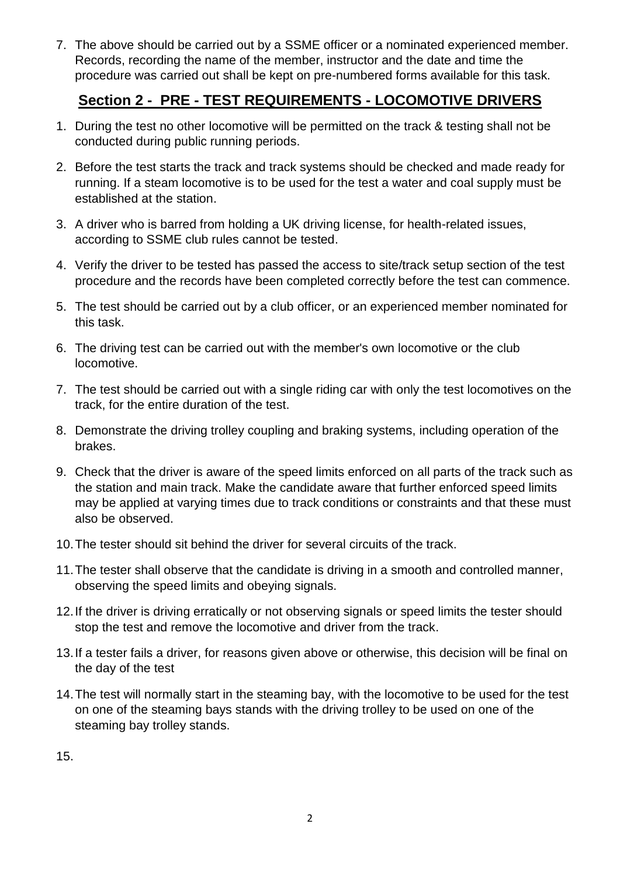7. The above should be carried out by a SSME officer or a nominated experienced member. Records, recording the name of the member, instructor and the date and time the procedure was carried out shall be kept on pre-numbered forms available for this task.

#### **Section 2 - PRE - TEST REQUIREMENTS - LOCOMOTIVE DRIVERS**

- 1. During the test no other locomotive will be permitted on the track & testing shall not be conducted during public running periods.
- 2. Before the test starts the track and track systems should be checked and made ready for running. If a steam locomotive is to be used for the test a water and coal supply must be established at the station.
- 3. A driver who is barred from holding a UK driving license, for health-related issues, according to SSME club rules cannot be tested.
- 4. Verify the driver to be tested has passed the access to site/track setup section of the test procedure and the records have been completed correctly before the test can commence.
- 5. The test should be carried out by a club officer, or an experienced member nominated for this task.
- 6. The driving test can be carried out with the member's own locomotive or the club locomotive.
- 7. The test should be carried out with a single riding car with only the test locomotives on the track, for the entire duration of the test.
- 8. Demonstrate the driving trolley coupling and braking systems, including operation of the brakes.
- 9. Check that the driver is aware of the speed limits enforced on all parts of the track such as the station and main track. Make the candidate aware that further enforced speed limits may be applied at varying times due to track conditions or constraints and that these must also be observed.
- 10.The tester should sit behind the driver for several circuits of the track.
- 11.The tester shall observe that the candidate is driving in a smooth and controlled manner, observing the speed limits and obeying signals.
- 12.If the driver is driving erratically or not observing signals or speed limits the tester should stop the test and remove the locomotive and driver from the track.
- 13.If a tester fails a driver, for reasons given above or otherwise, this decision will be final on the day of the test
- 14.The test will normally start in the steaming bay, with the locomotive to be used for the test on one of the steaming bays stands with the driving trolley to be used on one of the steaming bay trolley stands.

15.